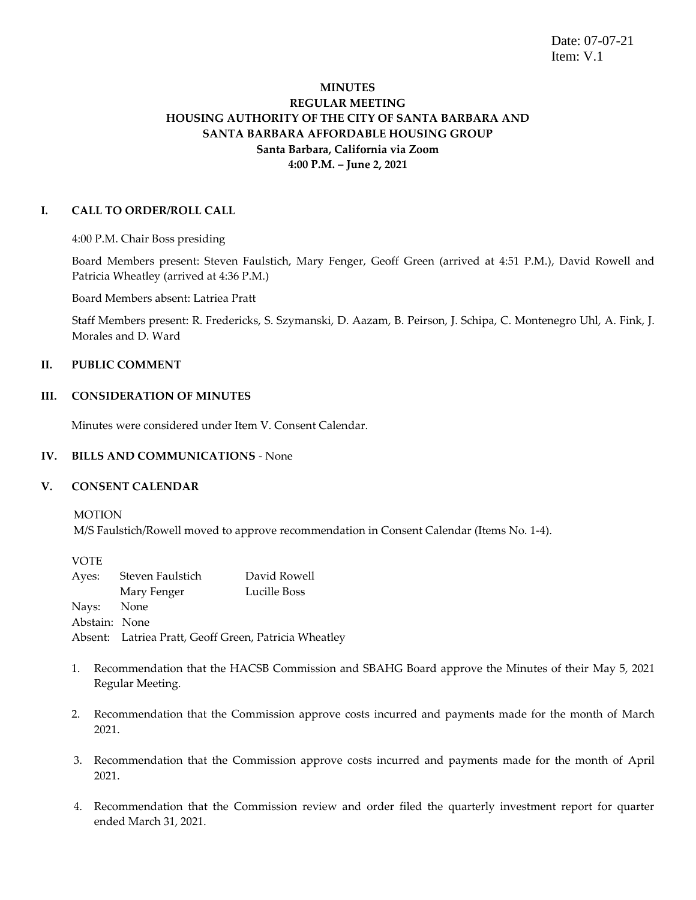Date: 07-07-21 Item: V.1

# **MINUTES REGULAR MEETING HOUSING AUTHORITY OF THE CITY OF SANTA BARBARA AND SANTA BARBARA AFFORDABLE HOUSING GROUP Santa Barbara, California via Zoom 4:00 P.M. – June 2, 2021**

# **I. CALL TO ORDER/ROLL CALL**

4:00 P.M. Chair Boss presiding

Board Members present: Steven Faulstich, Mary Fenger, Geoff Green (arrived at 4:51 P.M.), David Rowell and Patricia Wheatley (arrived at 4:36 P.M.)

Board Members absent: Latriea Pratt

Staff Members present: R. Fredericks, S. Szymanski, D. Aazam, B. Peirson, J. Schipa, C. Montenegro Uhl, A. Fink, J. Morales and D. Ward

# **II. PUBLIC COMMENT**

# **III. CONSIDERATION OF MINUTES**

Minutes were considered under Item V. Consent Calendar.

## **IV. BILLS AND COMMUNICATIONS** - None

## **V. CONSENT CALENDAR**

**MOTION** 

M/S Faulstich/Rowell moved to approve recommendation in Consent Calendar (Items No. 1-4).

VOTE Ayes: Steven Faulstich David Rowell Mary Fenger Lucille Boss Nays: None Abstain: None Absent: Latriea Pratt, Geoff Green, Patricia Wheatley

- 1. Recommendation that the HACSB Commission and SBAHG Board approve the Minutes of their May 5, 2021 Regular Meeting.
- 2. Recommendation that the Commission approve costs incurred and payments made for the month of March 2021.
- 3. Recommendation that the Commission approve costs incurred and payments made for the month of April 2021.
- 4. Recommendation that the Commission review and order filed the quarterly investment report for quarter ended March 31, 2021.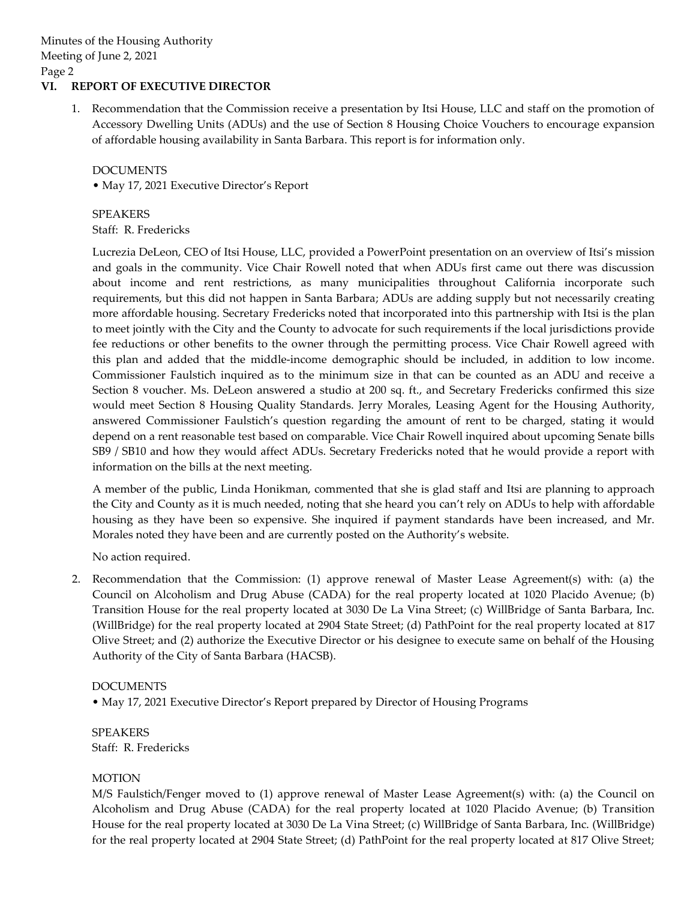# **VI. REPORT OF EXECUTIVE DIRECTOR**

1. Recommendation that the Commission receive a presentation by Itsi House, LLC and staff on the promotion of Accessory Dwelling Units (ADUs) and the use of Section 8 Housing Choice Vouchers to encourage expansion of affordable housing availability in Santa Barbara. This report is for information only.

# DOCUMENTS

• May 17, 2021 Executive Director's Report

SPEAKERS

Staff: R. Fredericks

Lucrezia DeLeon, CEO of Itsi House, LLC, provided a PowerPoint presentation on an overview of Itsi's mission and goals in the community. Vice Chair Rowell noted that when ADUs first came out there was discussion about income and rent restrictions, as many municipalities throughout California incorporate such requirements, but this did not happen in Santa Barbara; ADUs are adding supply but not necessarily creating more affordable housing. Secretary Fredericks noted that incorporated into this partnership with Itsi is the plan to meet jointly with the City and the County to advocate for such requirements if the local jurisdictions provide fee reductions or other benefits to the owner through the permitting process. Vice Chair Rowell agreed with this plan and added that the middle-income demographic should be included, in addition to low income. Commissioner Faulstich inquired as to the minimum size in that can be counted as an ADU and receive a Section 8 voucher. Ms. DeLeon answered a studio at 200 sq. ft., and Secretary Fredericks confirmed this size would meet Section 8 Housing Quality Standards. Jerry Morales, Leasing Agent for the Housing Authority, answered Commissioner Faulstich's question regarding the amount of rent to be charged, stating it would depend on a rent reasonable test based on comparable. Vice Chair Rowell inquired about upcoming Senate bills SB9 / SB10 and how they would affect ADUs. Secretary Fredericks noted that he would provide a report with information on the bills at the next meeting.

A member of the public, Linda Honikman, commented that she is glad staff and Itsi are planning to approach the City and County as it is much needed, noting that she heard you can't rely on ADUs to help with affordable housing as they have been so expensive. She inquired if payment standards have been increased, and Mr. Morales noted they have been and are currently posted on the Authority's website.

No action required.

2. Recommendation that the Commission: (1) approve renewal of Master Lease Agreement(s) with: (a) the Council on Alcoholism and Drug Abuse (CADA) for the real property located at 1020 Placido Avenue; (b) Transition House for the real property located at 3030 De La Vina Street; (c) WillBridge of Santa Barbara, Inc. (WillBridge) for the real property located at 2904 State Street; (d) PathPoint for the real property located at 817 Olive Street; and (2) authorize the Executive Director or his designee to execute same on behalf of the Housing Authority of the City of Santa Barbara (HACSB).

## DOCUMENTS

• May 17, 2021 Executive Director's Report prepared by Director of Housing Programs

SPEAKERS Staff: R. Fredericks

## MOTION

M/S Faulstich/Fenger moved to (1) approve renewal of Master Lease Agreement(s) with: (a) the Council on Alcoholism and Drug Abuse (CADA) for the real property located at 1020 Placido Avenue; (b) Transition House for the real property located at 3030 De La Vina Street; (c) WillBridge of Santa Barbara, Inc. (WillBridge) for the real property located at 2904 State Street; (d) PathPoint for the real property located at 817 Olive Street;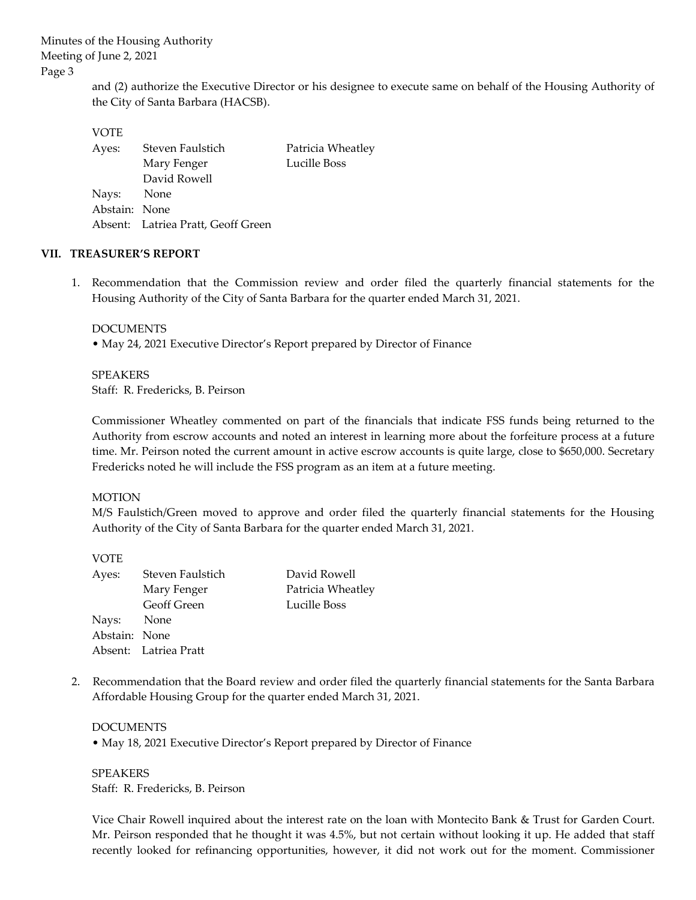> and (2) authorize the Executive Director or his designee to execute same on behalf of the Housing Authority of the City of Santa Barbara (HACSB).

#### VOTE

| Ayes:         | Steven Faulstich                   | Patricia Wheatley |
|---------------|------------------------------------|-------------------|
|               | Mary Fenger                        | Lucille Boss      |
|               | David Rowell                       |                   |
| Nays: None    |                                    |                   |
| Abstain: None |                                    |                   |
|               | Absent: Latriea Pratt, Geoff Green |                   |

## **VII. TREASURER'S REPORT**

1. Recommendation that the Commission review and order filed the quarterly financial statements for the Housing Authority of the City of Santa Barbara for the quarter ended March 31, 2021.

#### DOCUMENTS

• May 24, 2021 Executive Director's Report prepared by Director of Finance

SPEAKERS Staff: R. Fredericks, B. Peirson

Commissioner Wheatley commented on part of the financials that indicate FSS funds being returned to the Authority from escrow accounts and noted an interest in learning more about the forfeiture process at a future time. Mr. Peirson noted the current amount in active escrow accounts is quite large, close to \$650,000. Secretary Fredericks noted he will include the FSS program as an item at a future meeting.

## MOTION

 $\sqrt{2}$ 

M/S Faulstich/Green moved to approve and order filed the quarterly financial statements for the Housing Authority of the City of Santa Barbara for the quarter ended March 31, 2021.

| <b>VOIE</b>   |                       |                   |
|---------------|-----------------------|-------------------|
| Ayes:         | Steven Faulstich      | David Rowell      |
|               | Mary Fenger           | Patricia Wheatley |
|               | <b>Geoff Green</b>    | Lucille Boss      |
| Nays: None    |                       |                   |
| Abstain: None |                       |                   |
|               | Absent: Latriea Pratt |                   |

2. Recommendation that the Board review and order filed the quarterly financial statements for the Santa Barbara Affordable Housing Group for the quarter ended March 31, 2021.

# **DOCUMENTS**

• May 18, 2021 Executive Director's Report prepared by Director of Finance

SPEAKERS Staff: R. Fredericks, B. Peirson

Vice Chair Rowell inquired about the interest rate on the loan with Montecito Bank & Trust for Garden Court. Mr. Peirson responded that he thought it was 4.5%, but not certain without looking it up. He added that staff recently looked for refinancing opportunities, however, it did not work out for the moment. Commissioner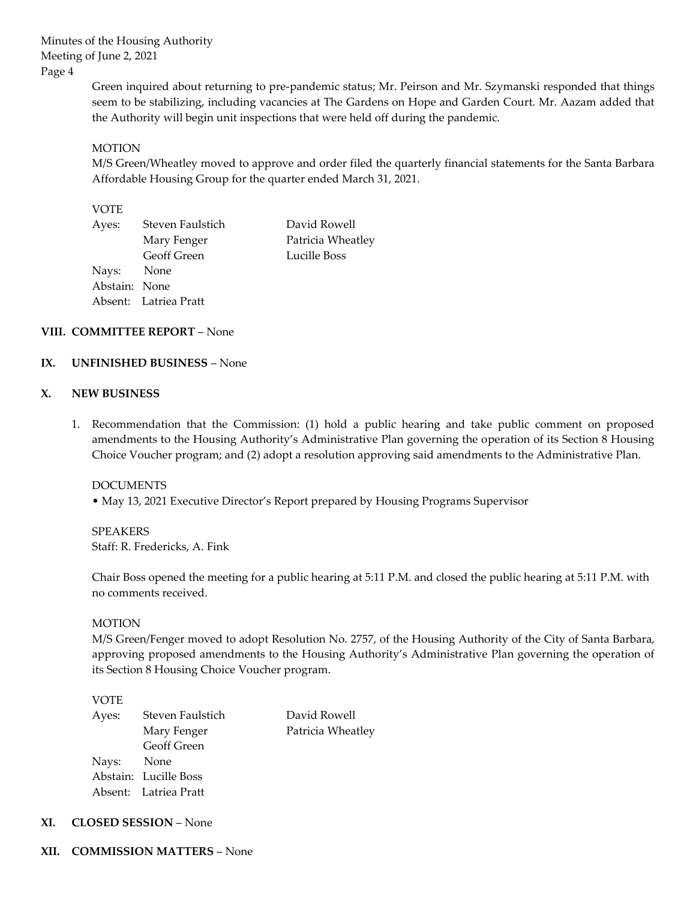> Green inquired about returning to pre-pandemic status; Mr. Peirson and Mr. Szymanski responded that things seem to be stabilizing, including vacancies at The Gardens on Hope and Garden Court. Mr. Aazam added that the Authority will begin unit inspections that were held off during the pandemic.

## **MOTION**

M/S Green/Wheatley moved to approve and order filed the quarterly financial statements for the Santa Barbara Affordable Housing Group for the quarter ended March 31, 2021.

#### VOTE

| Ayes:         | Steven Faulstich      | David Rowell      |
|---------------|-----------------------|-------------------|
|               | Mary Fenger           | Patricia Wheatley |
|               | Geoff Green           | Lucille Boss      |
| Nays: None    |                       |                   |
| Abstain: None |                       |                   |
|               | Absent: Latriea Pratt |                   |

## **VIII. COMMITTEE REPORT** – None

#### **IX. UNFINISHED BUSINESS** – None

#### **X. NEW BUSINESS**

1. Recommendation that the Commission: (1) hold a public hearing and take public comment on proposed amendments to the Housing Authority's Administrative Plan governing the operation of its Section 8 Housing Choice Voucher program; and (2) adopt a resolution approving said amendments to the Administrative Plan.

#### DOCUMENTS

• May 13, 2021 Executive Director's Report prepared by Housing Programs Supervisor

SPEAKERS Staff: R. Fredericks, A. Fink

Chair Boss opened the meeting for a public hearing at 5:11 P.M. and closed the public hearing at 5:11 P.M. with no comments received.

#### MOTION

M/S Green/Fenger moved to adopt Resolution No. 2757, of the Housing Authority of the City of Santa Barbara, approving proposed amendments to the Housing Authority's Administrative Plan governing the operation of its Section 8 Housing Choice Voucher program.

#### VOTE

| Ayes:      | Steven Faulstich      | David Rowell      |
|------------|-----------------------|-------------------|
|            | Mary Fenger           | Patricia Wheatley |
|            | Geoff Green           |                   |
| Nays: None |                       |                   |
|            | Abstain: Lucille Boss |                   |
|            | Absent: Latriea Pratt |                   |
|            |                       |                   |

- **XI. CLOSED SESSION** None
- **XII. COMMISSION MATTERS** None